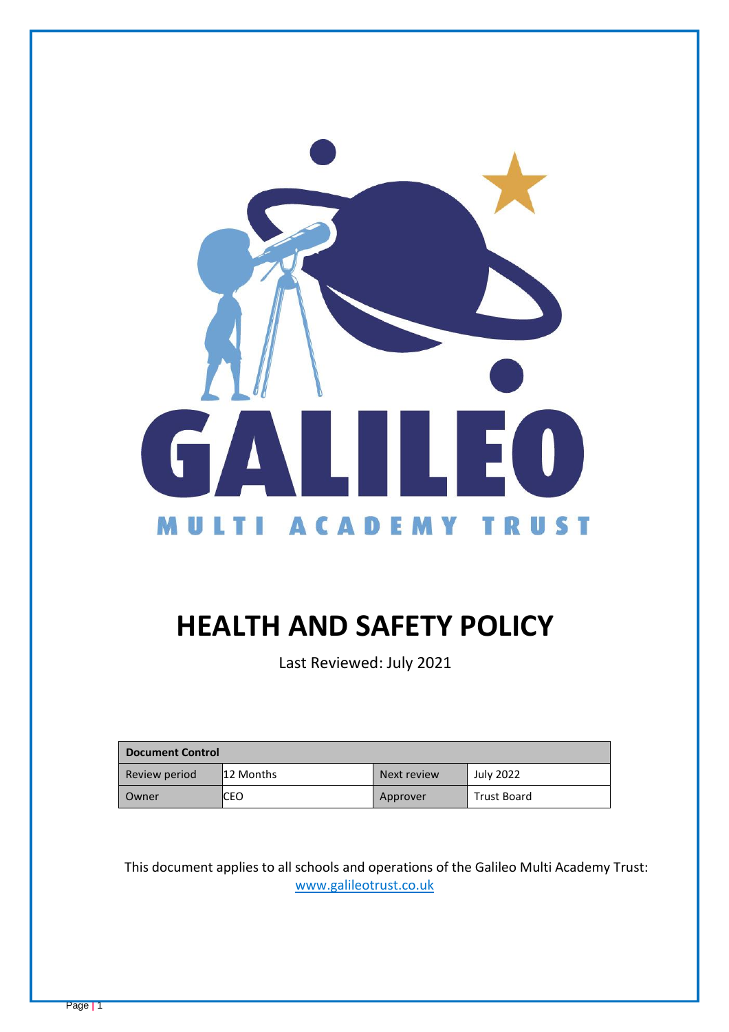

# **HEALTH AND SAFETY POLICY**

Last Reviewed: July 2021

| <b>Document Control</b> |           |             |                    |
|-------------------------|-----------|-------------|--------------------|
| Review period           | 12 Months | Next review | <b>July 2022</b>   |
| Owner                   | ICEO      | Approver    | <b>Trust Board</b> |

This document applies to all schools and operations of the Galileo Multi Academy Trust: [www.galileotrust.co.uk](http://www.galileotrust.co.uk/)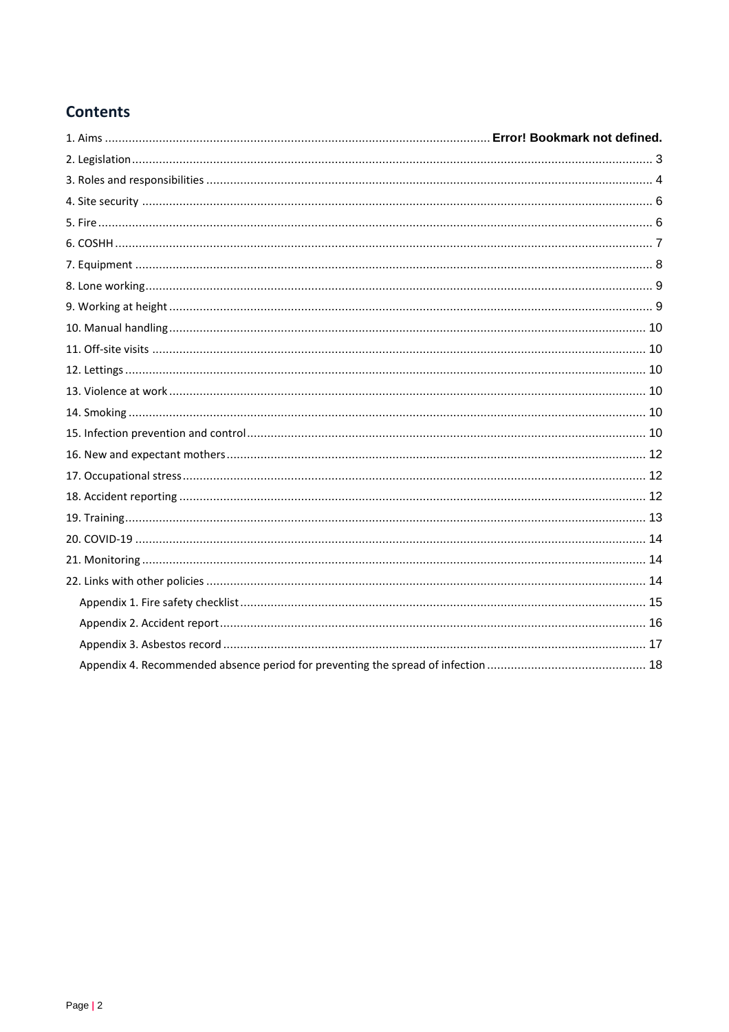# **Contents**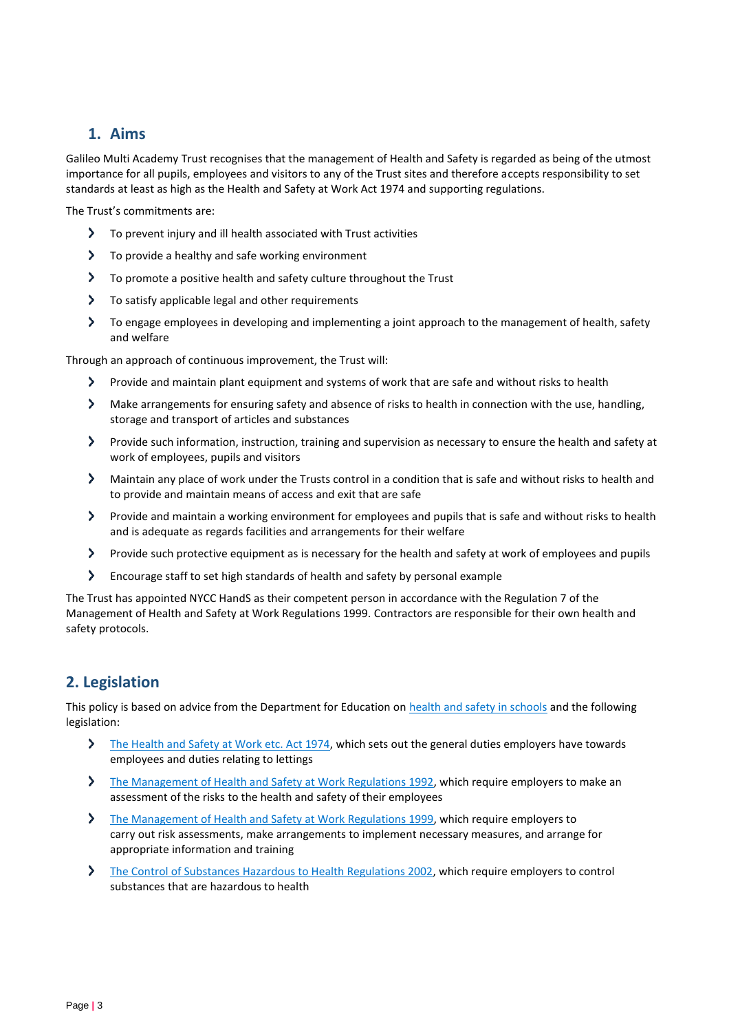# **1. Aims**

Galileo Multi Academy Trust recognises that the management of Health and Safety is regarded as being of the utmost importance for all pupils, employees and visitors to any of the Trust sites and therefore accepts responsibility to set standards at least as high as the Health and Safety at Work Act 1974 and supporting regulations.

The Trust's commitments are:

- $\blacktriangleright$ To prevent injury and ill health associated with Trust activities
- $\blacktriangleright$ To provide a healthy and safe working environment
- To promote a positive health and safety culture throughout the Trust
- $\blacktriangleright$ To satisfy applicable legal and other requirements
- To engage employees in developing and implementing a joint approach to the management of health, safety and welfare

Through an approach of continuous improvement, the Trust will:

- $\sum$ Provide and maintain plant equipment and systems of work that are safe and without risks to health
- Make arrangements for ensuring safety and absence of risks to health in connection with the use, handling, storage and transport of articles and substances
- Provide such information, instruction, training and supervision as necessary to ensure the health and safety at work of employees, pupils and visitors
- $\blacktriangleright$ Maintain any place of work under the Trusts control in a condition that is safe and without risks to health and to provide and maintain means of access and exit that are safe
- Provide and maintain a working environment for employees and pupils that is safe and without risks to health and is adequate as regards facilities and arrangements for their welfare
- $\blacktriangleright$ Provide such protective equipment as is necessary for the health and safety at work of employees and pupils
- $\blacktriangleright$ Encourage staff to set high standards of health and safety by personal example

The Trust has appointed NYCC HandS as their competent person in accordance with the Regulation 7 of the Management of Health and Safety at Work Regulations 1999. Contractors are responsible for their own health and safety protocols.

# <span id="page-2-0"></span>**2. Legislation**

This policy is based on advice from the Department for Education on [health and safety in schools](https://www.gov.uk/government/publications/health-and-safety-advice-for-schools) and the following legislation:

- $\blacktriangleright$ [The Health and Safety at Work etc. Act 1974,](http://www.legislation.gov.uk/ukpga/1974/37) which sets out the general duties employers have towards employees and duties relating to lettings
- [The Management of Health and Safety at Work Regulations 1992,](http://www.legislation.gov.uk/uksi/1992/2051/regulation/3/made) which require employers to make an  $\blacktriangleright$ assessment of the risks to the health and safety of their employees
- $\blacktriangleright$ [The Management of Health and Safety at Work Regulations 1999,](http://www.legislation.gov.uk/uksi/1999/3242/contents/made) which require employers to carry out risk assessments, make arrangements to implement necessary measures, and arrange for appropriate information and training
- [The Control of Substances Hazardous to Health Regulations 2002,](http://www.legislation.gov.uk/uksi/2002/2677/contents/made) which require employers to control substances that are hazardous to health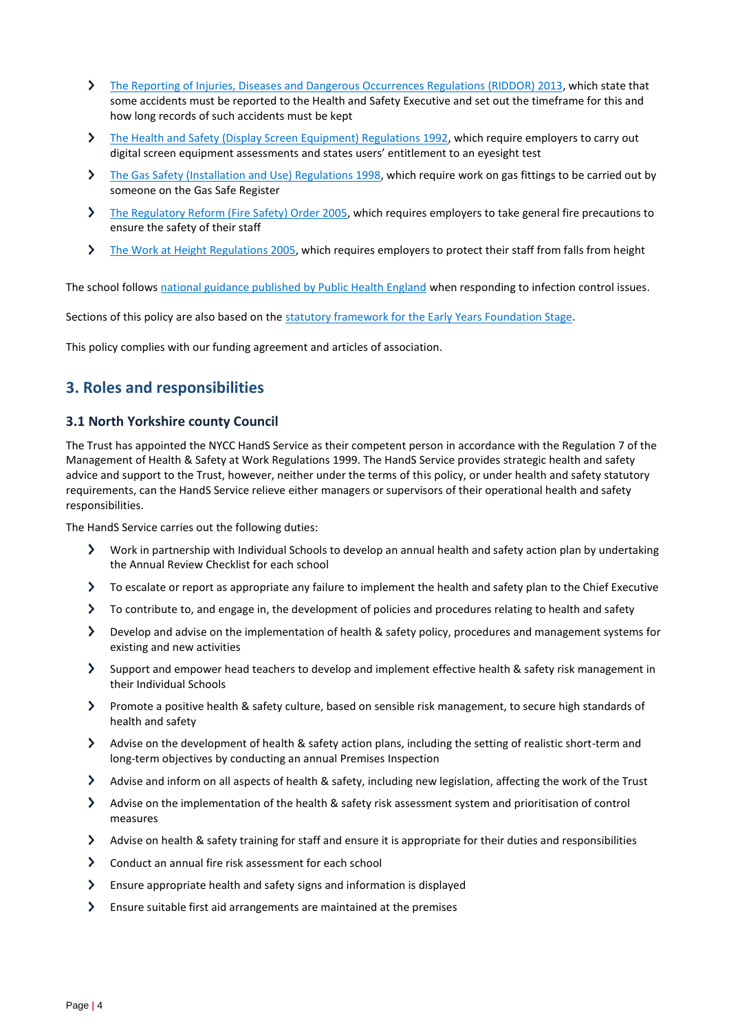- [The Reporting of Injuries, Diseases and Dangerous Occurrences Regulations \(RIDDOR\) 2013,](http://www.legislation.gov.uk/uksi/2013/1471/schedule/1/paragraph/1/made) which state that some accidents must be reported to the Health and Safety Executive and set out the timeframe for this and how long records of such accidents must be kept
- [The Health and Safety \(Display Screen Equipment\) Regulations 1992,](http://www.legislation.gov.uk/uksi/1992/2792/contents/made) which require employers to carry out digital screen equipment assessments and states users' entitlement to an eyesight test
- [The Gas Safety \(Installation and Use\) Regulations 1998,](http://www.legislation.gov.uk/uksi/1998/2451/regulation/4/made) which require work on gas fittings to be carried out by someone on the Gas Safe Register
- [The Regulatory Reform \(Fire Safety\) Order 2005,](http://www.legislation.gov.uk/uksi/2005/1541/part/2/made) which requires employers to take general fire precautions to ensure the safety of their staff
- $\blacktriangleright$ [The Work at Height](http://www.legislation.gov.uk/uksi/2005/735/contents/made) Regulations 2005, which requires employers to protect their staff from falls from height

The school follows [national guidance published by Public Health England](https://www.gov.uk/government/publications/health-protection-in-schools-and-other-childcare-facilities/chapter-9-managing-specific-infectious-diseases) when responding to infection control issues.

Sections of this policy are also based on the [statutory framework for the Early Years Foundation Stage.](https://www.gov.uk/government/publications/early-years-foundation-stage-framework--2)

This policy complies with our funding agreement and articles of association.

## <span id="page-3-0"></span>**3. Roles and responsibilities**

#### **3.1 North Yorkshire county Council**

The Trust has appointed the NYCC HandS Service as their competent person in accordance with the Regulation 7 of the Management of Health & Safety at Work Regulations 1999. The HandS Service provides strategic health and safety advice and support to the Trust, however, neither under the terms of this policy, or under health and safety statutory requirements, can the HandS Service relieve either managers or supervisors of their operational health and safety responsibilities.

The HandS Service carries out the following duties:

- $\sum$ Work in partnership with Individual Schools to develop an annual health and safety action plan by undertaking the Annual Review Checklist for each school
- To escalate or report as appropriate any failure to implement the health and safety plan to the Chief Executive
- To contribute to, and engage in, the development of policies and procedures relating to health and safety
- Develop and advise on the implementation of health & safety policy, procedures and management systems for existing and new activities
- Support and empower head teachers to develop and implement effective health & safety risk management in their Individual Schools
- Promote a positive health & safety culture, based on sensible risk management, to secure high standards of health and safety
- $\sum$ Advise on the development of health & safety action plans, including the setting of realistic short-term and long-term objectives by conducting an annual Premises Inspection
- Advise and inform on all aspects of health & safety, including new legislation, affecting the work of the Trust
- Advise on the implementation of the health & safety risk assessment system and prioritisation of control measures
- $\blacktriangleright$ Advise on health & safety training for staff and ensure it is appropriate for their duties and responsibilities
- $\sum$ Conduct an annual fire risk assessment for each school
- Ensure appropriate health and safety signs and information is displayed
- $\blacktriangleright$ Ensure suitable first aid arrangements are maintained at the premises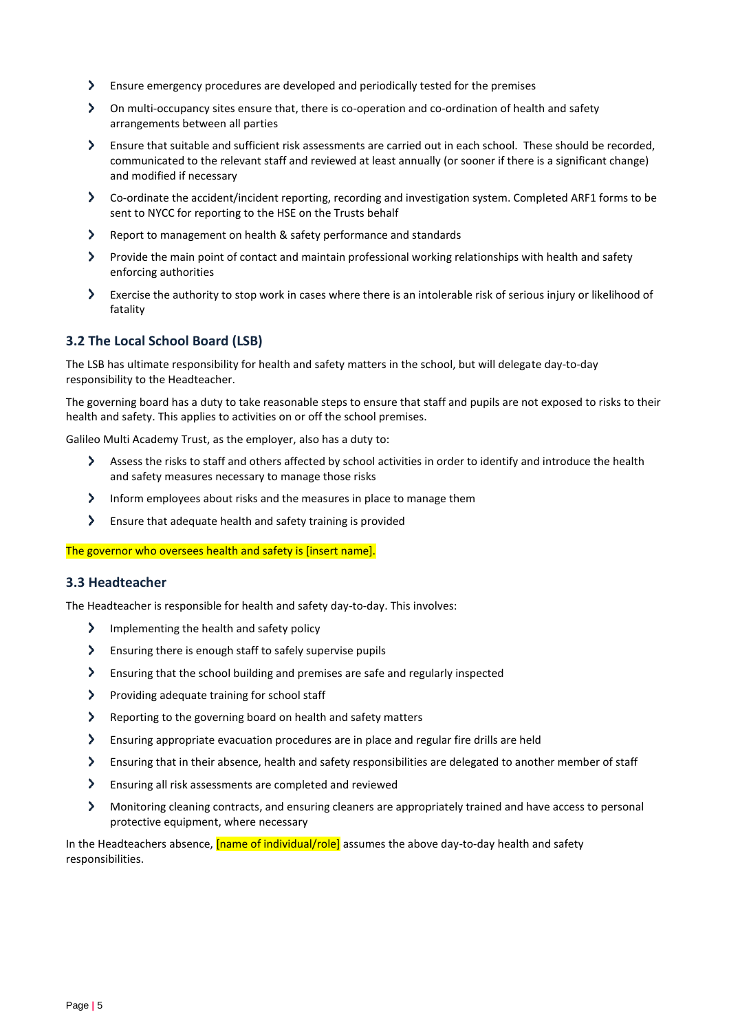- Ensure emergency procedures are developed and periodically tested for the premises
- On multi-occupancy sites ensure that, there is co-operation and co-ordination of health and safety arrangements between all parties
- Ensure that suitable and sufficient risk assessments are carried out in each school. These should be recorded, communicated to the relevant staff and reviewed at least annually (or sooner if there is a significant change) and modified if necessary
- Co-ordinate the accident/incident reporting, recording and investigation system. Completed ARF1 forms to be sent to NYCC for reporting to the HSE on the Trusts behalf
- Report to management on health & safety performance and standards
- Provide the main point of contact and maintain professional working relationships with health and safety enforcing authorities
- Exercise the authority to stop work in cases where there is an intolerable risk of serious injury or likelihood of fatality

## **3.2 The Local School Board (LSB)**

The LSB has ultimate responsibility for health and safety matters in the school, but will delegate day-to-day responsibility to the Headteacher.

The governing board has a duty to take reasonable steps to ensure that staff and pupils are not exposed to risks to their health and safety. This applies to activities on or off the school premises.

Galileo Multi Academy Trust, as the employer, also has a duty to:

- $\sum$ Assess the risks to staff and others affected by school activities in order to identify and introduce the health and safety measures necessary to manage those risks
- $\sum$  Inform employees about risks and the measures in place to manage them
- Ensure that adequate health and safety training is provided

The governor who oversees health and safety is [insert name].

#### **3.3 Headteacher**

The Headteacher is responsible for health and safety day-to-day. This involves:

- $\sum$  Implementing the health and safety policy
- $\sum$ Ensuring there is enough staff to safely supervise pupils
- $\blacktriangleright$ Ensuring that the school building and premises are safe and regularly inspected
- $\blacktriangleright$ Providing adequate training for school staff
- $\sum$ Reporting to the governing board on health and safety matters
- $\blacktriangleright$ Ensuring appropriate evacuation procedures are in place and regular fire drills are held
- $\blacktriangleright$ Ensuring that in their absence, health and safety responsibilities are delegated to another member of staff
- $\rightarrow$ Ensuring all risk assessments are completed and reviewed
- $\blacktriangleright$ Monitoring cleaning contracts, and ensuring cleaners are appropriately trained and have access to personal protective equipment, where necessary

In the Headteachers absence, *[name of individual/role]* assumes the above day-to-day health and safety responsibilities.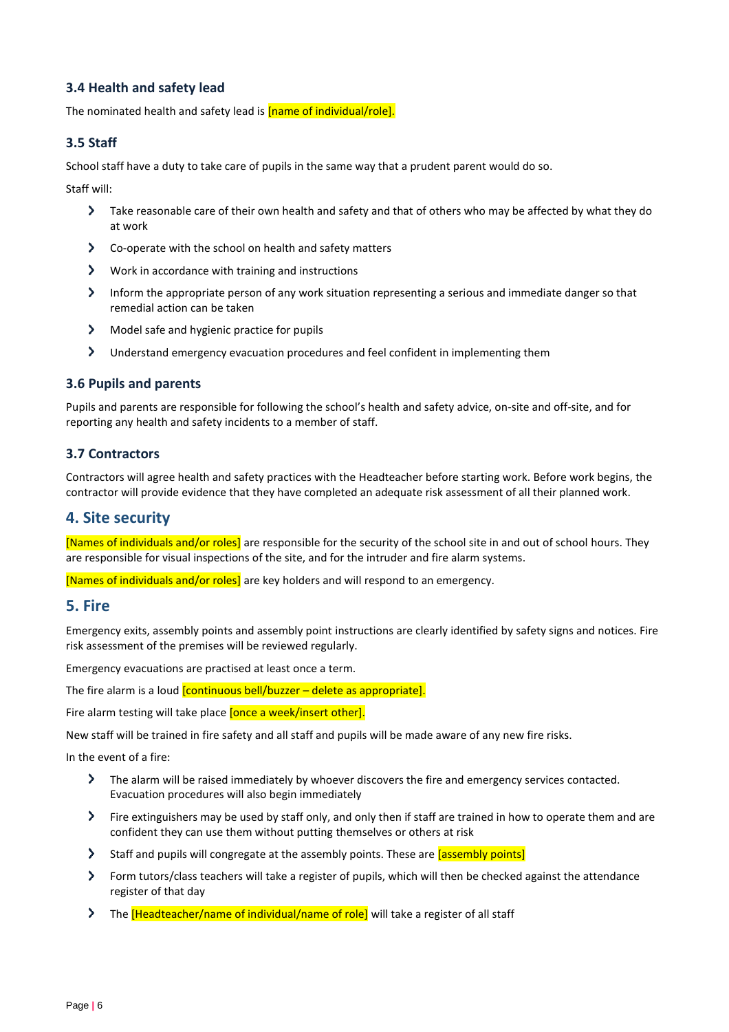## **3.4 Health and safety lead**

The nominated health and safety lead is **[name of individual/role].** 

## **3.5 Staff**

School staff have a duty to take care of pupils in the same way that a prudent parent would do so.

Staff will:

- Take reasonable care of their own health and safety and that of others who may be affected by what they do at work
- $\blacktriangleright$ Co-operate with the school on health and safety matters
- $\sum$ Work in accordance with training and instructions
- $\geq$  Inform the appropriate person of any work situation representing a serious and immediate danger so that remedial action can be taken
- $\blacktriangleright$ Model safe and hygienic practice for pupils
- $\blacktriangleright$ Understand emergency evacuation procedures and feel confident in implementing them

## **3.6 Pupils and parents**

Pupils and parents are responsible for following the school's health and safety advice, on-site and off-site, and for reporting any health and safety incidents to a member of staff.

## **3.7 Contractors**

Contractors will agree health and safety practices with the Headteacher before starting work. Before work begins, the contractor will provide evidence that they have completed an adequate risk assessment of all their planned work.

## <span id="page-5-0"></span>**4. Site security**

[Names of individuals and/or roles] are responsible for the security of the school site in and out of school hours. They are responsible for visual inspections of the site, and for the intruder and fire alarm systems.

[Names of individuals and/or roles] are key holders and will respond to an emergency.

## <span id="page-5-1"></span>**5. Fire**

Emergency exits, assembly points and assembly point instructions are clearly identified by safety signs and notices. Fire risk assessment of the premises will be reviewed regularly.

Emergency evacuations are practised at least once a term.

The fire alarm is a loud *[continuous bell/buzzer – delete as appropriate]*.

Fire alarm testing will take place **[once a week/insert other].** 

New staff will be trained in fire safety and all staff and pupils will be made aware of any new fire risks.

In the event of a fire:

- $\blacktriangleright$ The alarm will be raised immediately by whoever discovers the fire and emergency services contacted. Evacuation procedures will also begin immediately
- Fire extinguishers may be used by staff only, and only then if staff are trained in how to operate them and are confident they can use them without putting themselves or others at risk
- Staff and pupils will congregate at the assembly points. These are *assembly points*
- $\blacktriangleright$ Form tutors/class teachers will take a register of pupils, which will then be checked against the attendance register of that day
- The **[Headteacher/name of individual/name of role]** will take a register of all staff  $\blacktriangleright$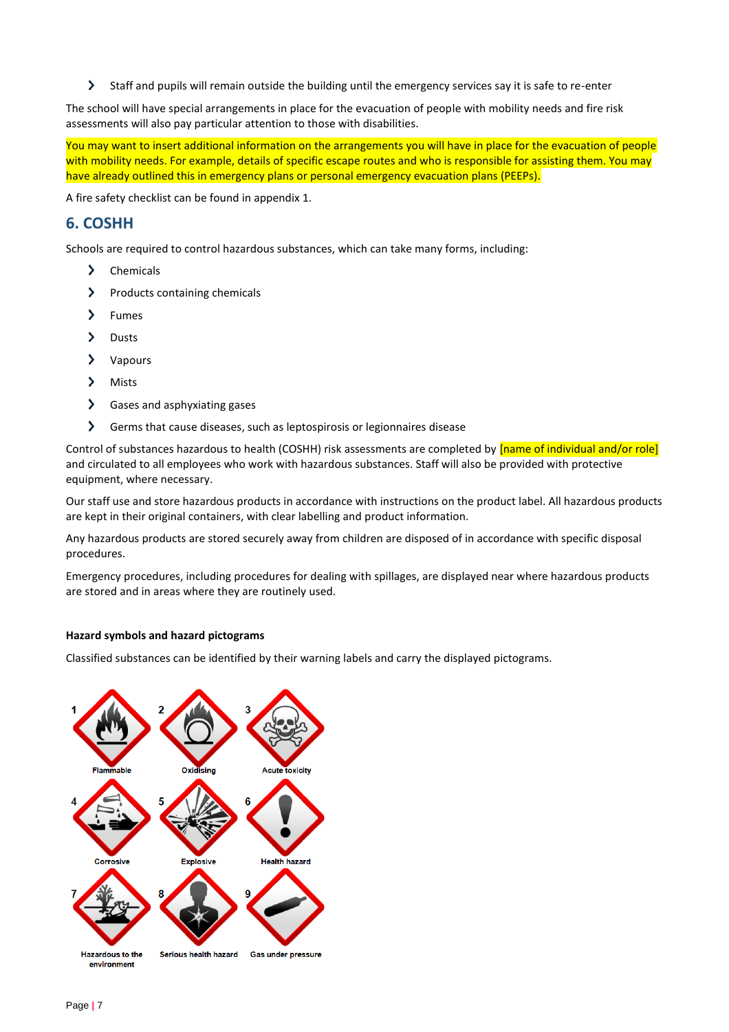$\blacktriangleright$ Staff and pupils will remain outside the building until the emergency services say it is safe to re-enter

The school will have special arrangements in place for the evacuation of people with mobility needs and fire risk assessments will also pay particular attention to those with disabilities.

You may want to insert additional information on the arrangements you will have in place for the evacuation of people with mobility needs. For example, details of specific escape routes and who is responsible for assisting them. You may have already outlined this in emergency plans or personal emergency evacuation plans (PEEPs).

A fire safety checklist can be found in appendix 1.

# <span id="page-6-0"></span>**6. COSHH**

Schools are required to control hazardous substances, which can take many forms, including:

- > Chemicals
- $\blacktriangleright$ Products containing chemicals
- > Fumes
- $\blacktriangleright$ Dusts
- Vapours
- $\blacktriangleright$ Mists
- $\rightarrow$ Gases and asphyxiating gases
- $\rightarrow$ Germs that cause diseases, such as leptospirosis or legionnaires disease

Control of substances hazardous to health (COSHH) risk assessments are completed by **[name of individual and/or role]** and circulated to all employees who work with hazardous substances. Staff will also be provided with protective equipment, where necessary.

Our staff use and store hazardous products in accordance with instructions on the product label. All hazardous products are kept in their original containers, with clear labelling and product information.

Any hazardous products are stored securely away from children are disposed of in accordance with specific disposal procedures.

Emergency procedures, including procedures for dealing with spillages, are displayed near where hazardous products are stored and in areas where they are routinely used.

## **Hazard symbols and hazard pictograms**

Classified substances can be identified by their warning labels and carry the displayed pictograms.

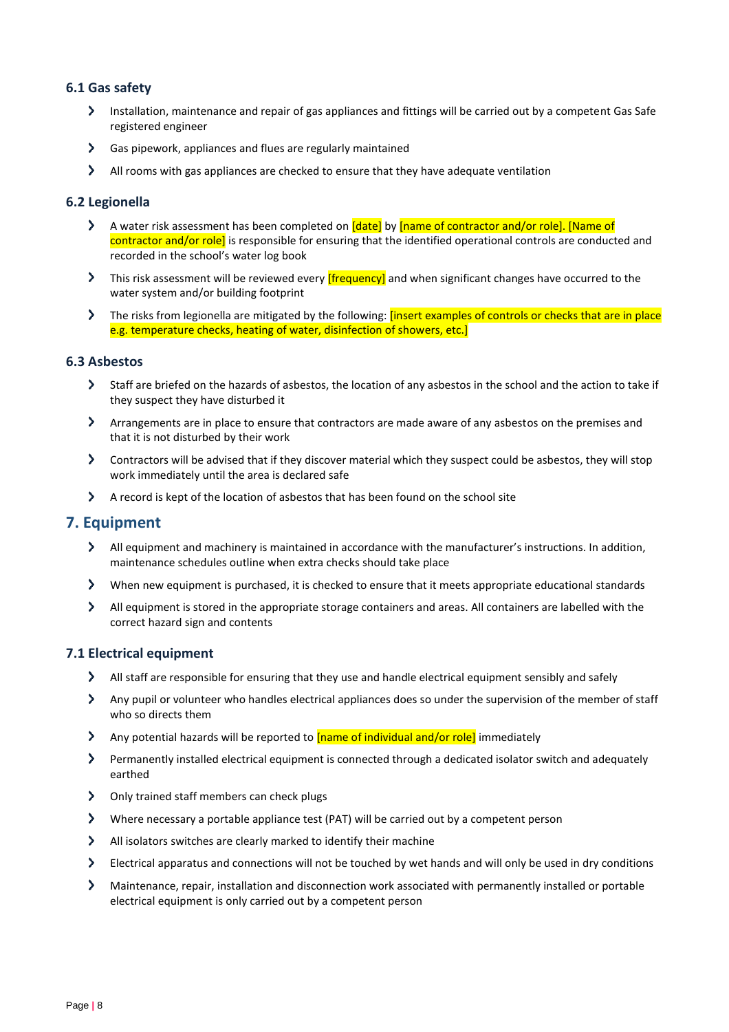## **6.1 Gas safety**

- Installation, maintenance and repair of gas appliances and fittings will be carried out by a competent Gas Safe registered engineer
- Gas pipework, appliances and flues are regularly maintained
- All rooms with gas appliances are checked to ensure that they have adequate ventilation

## **6.2 Legionella**

- A water risk assessment has been completed on *[date]* by *[name of contractor and/or role]*. *[Name of*  $\sum$ contractor and/or role] is responsible for ensuring that the identified operational controls are conducted and recorded in the school's water log book
- This risk assessment will be reviewed every **[frequency**] and when significant changes have occurred to the water system and/or building footprint
- The risks from legionella are mitigated by the following: *[insert examples of controls or checks that are in place* e.g. temperature checks, heating of water, disinfection of showers, etc.]

#### **6.3 Asbestos**

- Staff are briefed on the hazards of asbestos, the location of any asbestos in the school and the action to take if they suspect they have disturbed it
- Arrangements are in place to ensure that contractors are made aware of any asbestos on the premises and that it is not disturbed by their work
- Contractors will be advised that if they discover material which they suspect could be asbestos, they will stop work immediately until the area is declared safe
- A record is kept of the location of asbestos that has been found on the school site

## <span id="page-7-0"></span>**7. Equipment**

- All equipment and machinery is maintained in accordance with the manufacturer's instructions. In addition, maintenance schedules outline when extra checks should take place
- $\blacktriangleright$ When new equipment is purchased, it is checked to ensure that it meets appropriate educational standards
- All equipment is stored in the appropriate storage containers and areas. All containers are labelled with the correct hazard sign and contents

## **7.1 Electrical equipment**

- $\sum$ All staff are responsible for ensuring that they use and handle electrical equipment sensibly and safely
- Any pupil or volunteer who handles electrical appliances does so under the supervision of the member of staff who so directs them
- Any potential hazards will be reported to **[name of individual and/or role]** immediately
- Permanently installed electrical equipment is connected through a dedicated isolator switch and adequately earthed
- > Only trained staff members can check plugs
- $\blacktriangleright$ Where necessary a portable appliance test (PAT) will be carried out by a competent person
- $\blacktriangleright$ All isolators switches are clearly marked to identify their machine
- $\rightarrow$ Electrical apparatus and connections will not be touched by wet hands and will only be used in dry conditions
- $\blacktriangleright$ Maintenance, repair, installation and disconnection work associated with permanently installed or portable electrical equipment is only carried out by a competent person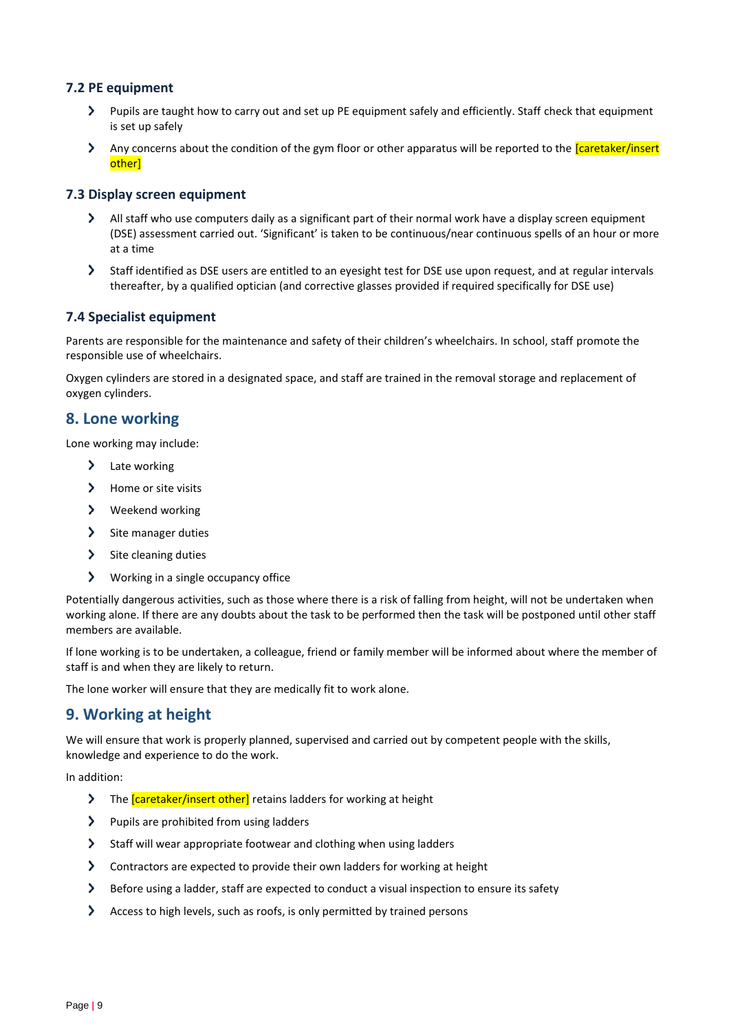## **7.2 PE equipment**

- Pupils are taught how to carry out and set up PE equipment safely and efficiently. Staff check that equipment is set up safely
- $\rightarrow$ Any concerns about the condition of the gym floor or other apparatus will be reported to the *caretaker/insert* other]

## **7.3 Display screen equipment**

- All staff who use computers daily as a significant part of their normal work have a display screen equipment (DSE) assessment carried out. 'Significant' is taken to be continuous/near continuous spells of an hour or more at a time
- $\blacktriangleright$ Staff identified as DSE users are entitled to an eyesight test for DSE use upon request, and at regular intervals thereafter, by a qualified optician (and corrective glasses provided if required specifically for DSE use)

## **7.4 Specialist equipment**

Parents are responsible for the maintenance and safety of their children's wheelchairs. In school, staff promote the responsible use of wheelchairs.

Oxygen cylinders are stored in a designated space, and staff are trained in the removal storage and replacement of oxygen cylinders.

## <span id="page-8-0"></span>**8. Lone working**

Lone working may include:

- > Late working
- $\sum_{i=1}^{n}$ Home or site visits
- > Weekend working
- $\blacktriangleright$ Site manager duties
- $\blacktriangleright$ Site cleaning duties
- $\blacktriangleright$ Working in a single occupancy office

Potentially dangerous activities, such as those where there is a risk of falling from height, will not be undertaken when working alone. If there are any doubts about the task to be performed then the task will be postponed until other staff members are available.

If lone working is to be undertaken, a colleague, friend or family member will be informed about where the member of staff is and when they are likely to return.

The lone worker will ensure that they are medically fit to work alone.

## <span id="page-8-1"></span>**9. Working at height**

We will ensure that work is properly planned, supervised and carried out by competent people with the skills, knowledge and experience to do the work.

In addition:

- $\sum$ The *caretaker/insert other*] retains ladders for working at height
- $\blacktriangleright$ Pupils are prohibited from using ladders
- $\blacktriangleright$ Staff will wear appropriate footwear and clothing when using ladders
- $\blacktriangleright$ Contractors are expected to provide their own ladders for working at height
- $\blacktriangleright$ Before using a ladder, staff are expected to conduct a visual inspection to ensure its safety
- $\blacktriangleright$ Access to high levels, such as roofs, is only permitted by trained persons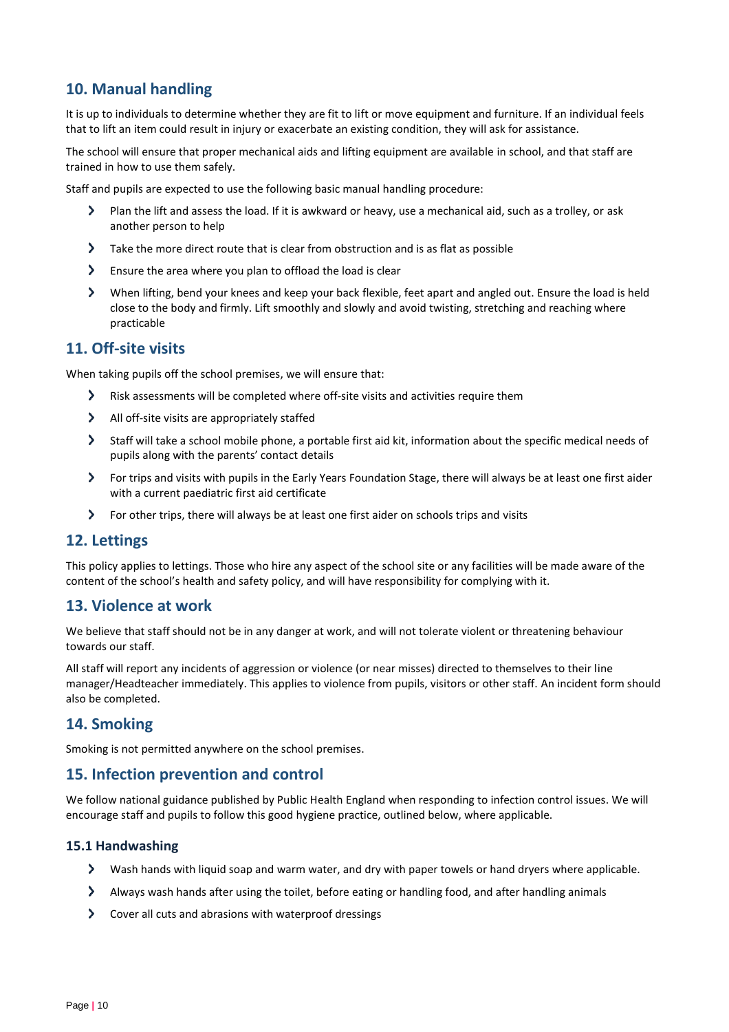# <span id="page-9-0"></span>**10. Manual handling**

It is up to individuals to determine whether they are fit to lift or move equipment and furniture. If an individual feels that to lift an item could result in injury or exacerbate an existing condition, they will ask for assistance.

The school will ensure that proper mechanical aids and lifting equipment are available in school, and that staff are trained in how to use them safely.

Staff and pupils are expected to use the following basic manual handling procedure:

- Plan the lift and assess the load. If it is awkward or heavy, use a mechanical aid, such as a trolley, or ask another person to help
- $\blacktriangleright$ Take the more direct route that is clear from obstruction and is as flat as possible
- $\blacktriangleright$ Ensure the area where you plan to offload the load is clear
- When lifting, bend your knees and keep your back flexible, feet apart and angled out. Ensure the load is held close to the body and firmly. Lift smoothly and slowly and avoid twisting, stretching and reaching where practicable

## <span id="page-9-1"></span>**11. Off-site visits**

When taking pupils off the school premises, we will ensure that:

- $\sum_{i=1}^{n}$ Risk assessments will be completed where off-site visits and activities require them
- $\blacktriangleright$ All off-site visits are appropriately staffed
- $\blacktriangleright$ Staff will take a school mobile phone, a portable first aid kit, information about the specific medical needs of pupils along with the parents' contact details
- For trips and visits with pupils in the Early Years Foundation Stage, there will always be at least one first aider with a current paediatric first aid certificate
- For other trips, there will always be at least one first aider on schools trips and visits

## <span id="page-9-2"></span>**12. Lettings**

This policy applies to lettings. Those who hire any aspect of the school site or any facilities will be made aware of the content of the school's health and safety policy, and will have responsibility for complying with it.

## <span id="page-9-3"></span>**13. Violence at work**

We believe that staff should not be in any danger at work, and will not tolerate violent or threatening behaviour towards our staff.

All staff will report any incidents of aggression or violence (or near misses) directed to themselves to their line manager/Headteacher immediately. This applies to violence from pupils, visitors or other staff. An incident form should also be completed.

## <span id="page-9-4"></span>**14. Smoking**

Smoking is not permitted anywhere on the school premises.

## <span id="page-9-5"></span>**15. Infection prevention and control**

We follow national guidance published by Public Health England when responding to infection control issues. We will encourage staff and pupils to follow this good hygiene practice, outlined below, where applicable.

## **15.1 Handwashing**

- Wash hands with liquid soap and warm water, and dry with paper towels or hand dryers where applicable.
- Always wash hands after using the toilet, before eating or handling food, and after handling animals
- Cover all cuts and abrasions with waterproof dressings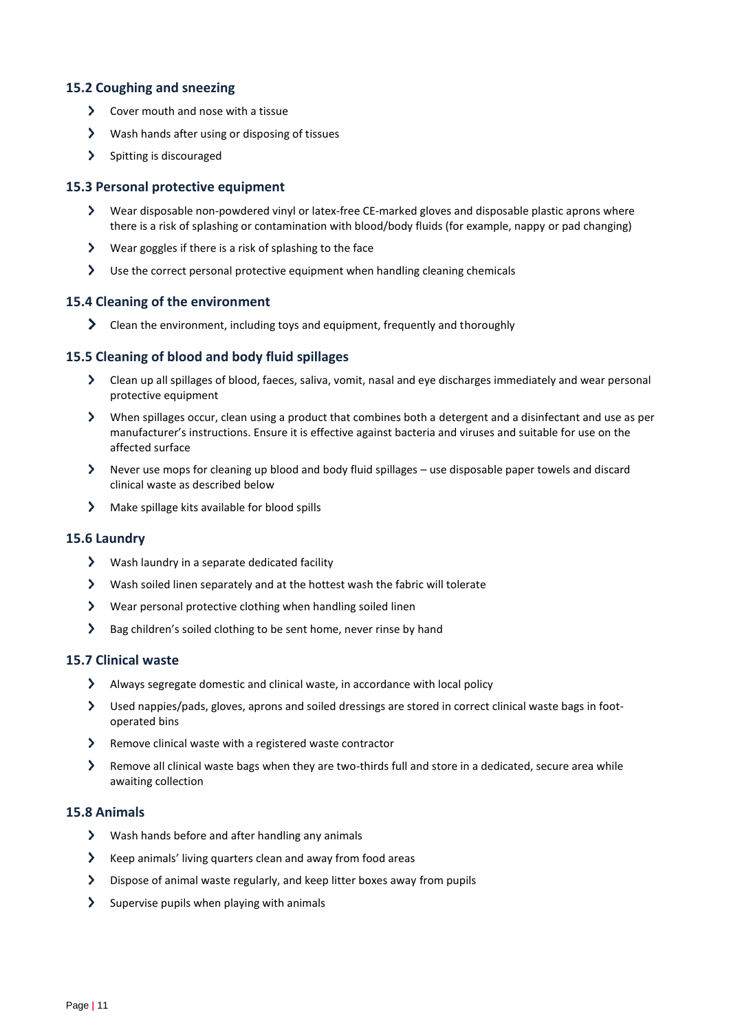## **15.2 Coughing and sneezing**

- $\sum$  Cover mouth and nose with a tissue
- Wash hands after using or disposing of tissues
- $\sum$  Spitting is discouraged

## **15.3 Personal protective equipment**

- Wear disposable non-powdered vinyl or latex-free CE-marked gloves and disposable plastic aprons where there is a risk of splashing or contamination with blood/body fluids (for example, nappy or pad changing)
- Wear goggles if there is a risk of splashing to the face
- Use the correct personal protective equipment when handling cleaning chemicals

## **15.4 Cleaning of the environment**

**>** Clean the environment, including toys and equipment, frequently and thoroughly

## **15.5 Cleaning of blood and body fluid spillages**

- Clean up all spillages of blood, faeces, saliva, vomit, nasal and eye discharges immediately and wear personal protective equipment
- When spillages occur, clean using a product that combines both a detergent and a disinfectant and use as per manufacturer's instructions. Ensure it is effective against bacteria and viruses and suitable for use on the affected surface
- Never use mops for cleaning up blood and body fluid spillages use disposable paper towels and discard clinical waste as described below
- $\sum$  Make spillage kits available for blood spills

## **15.6 Laundry**

- $\triangleright$  Wash laundry in a separate dedicated facility
- Wash soiled linen separately and at the hottest wash the fabric will tolerate
- Wear personal protective clothing when handling soiled linen
- $\sum$ Bag children's soiled clothing to be sent home, never rinse by hand

## **15.7 Clinical waste**

- Always segregate domestic and clinical waste, in accordance with local policy
- Used nappies/pads, gloves, aprons and soiled dressings are stored in correct clinical waste bags in footoperated bins
- Remove clinical waste with a registered waste contractor
- $\blacktriangleright$ Remove all clinical waste bags when they are two-thirds full and store in a dedicated, secure area while awaiting collection

## **15.8 Animals**

- $\sum$ Wash hands before and after handling any animals
- $\blacktriangleright$  Keep animals' living quarters clean and away from food areas
- Dispose of animal waste regularly, and keep litter boxes away from pupils
- $\sum$ Supervise pupils when playing with animals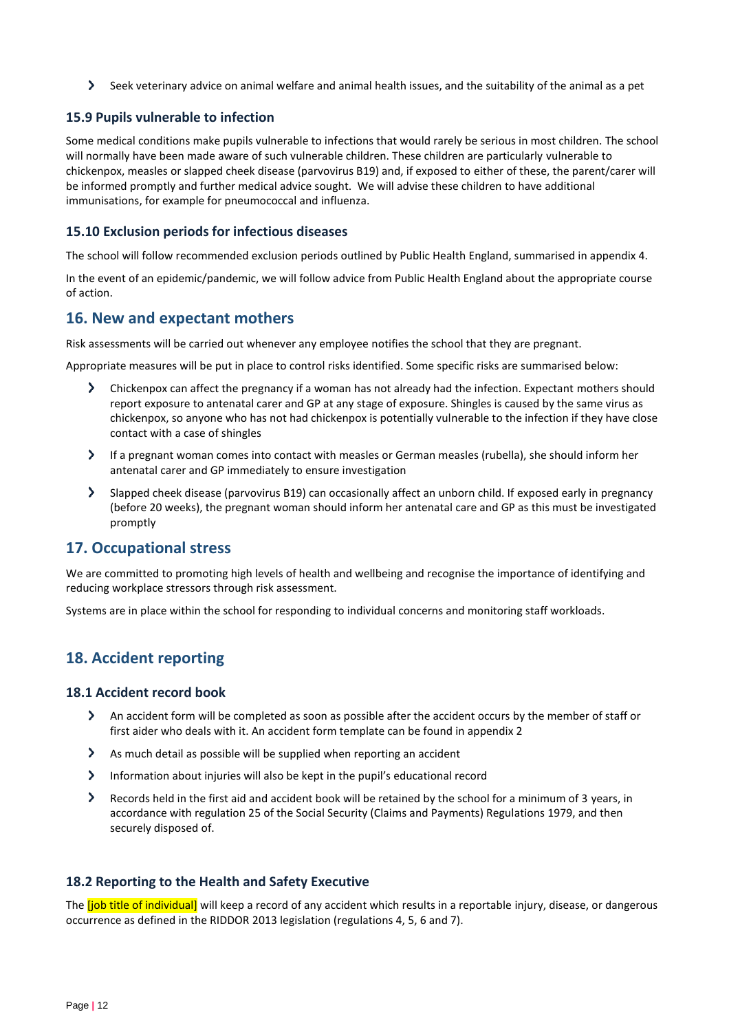Seek veterinary advice on animal welfare and animal health issues, and the suitability of the animal as a pet

## **15.9 Pupils vulnerable to infection**

Some medical conditions make pupils vulnerable to infections that would rarely be serious in most children. The school will normally have been made aware of such vulnerable children. These children are particularly vulnerable to chickenpox, measles or slapped cheek disease (parvovirus B19) and, if exposed to either of these, the parent/carer will be informed promptly and further medical advice sought. We will advise these children to have additional immunisations, for example for pneumococcal and influenza.

## **15.10 Exclusion periods for infectious diseases**

The school will follow recommended exclusion periods outlined by Public Health England, summarised in appendix 4.

In the event of an epidemic/pandemic, we will follow advice from Public Health England about the appropriate course of action.

## <span id="page-11-0"></span>**16. New and expectant mothers**

Risk assessments will be carried out whenever any employee notifies the school that they are pregnant.

Appropriate measures will be put in place to control risks identified. Some specific risks are summarised below:

- $\sum$ Chickenpox can affect the pregnancy if a woman has not already had the infection. Expectant mothers should report exposure to antenatal carer and GP at any stage of exposure. Shingles is caused by the same virus as chickenpox, so anyone who has not had chickenpox is potentially vulnerable to the infection if they have close contact with a case of shingles
- If a pregnant woman comes into contact with measles or German measles (rubella), she should inform her antenatal carer and GP immediately to ensure investigation
- Slapped cheek disease (parvovirus B19) can occasionally affect an unborn child. If exposed early in pregnancy (before 20 weeks), the pregnant woman should inform her antenatal care and GP as this must be investigated promptly

## <span id="page-11-1"></span>**17. Occupational stress**

We are committed to promoting high levels of health and wellbeing and recognise the importance of identifying and reducing workplace stressors through risk assessment.

Systems are in place within the school for responding to individual concerns and monitoring staff workloads.

# <span id="page-11-2"></span>**18. Accident reporting**

## **18.1 Accident record book**

- $\blacktriangleright$ An accident form will be completed as soon as possible after the accident occurs by the member of staff or first aider who deals with it. An accident form template can be found in appendix 2
- $\blacktriangleright$ As much detail as possible will be supplied when reporting an accident
- Information about injuries will also be kept in the pupil's educational record
- $\blacktriangleright$ Records held in the first aid and accident book will be retained by the school for a minimum of 3 years, in accordance with regulation 25 of the Social Security (Claims and Payments) Regulations 1979, and then securely disposed of.

## **18.2 Reporting to the Health and Safety Executive**

The *[job title of individual]* will keep a record of any accident which results in a reportable injury, disease, or dangerous occurrence as defined in the RIDDOR 2013 legislation (regulations 4, 5, 6 and 7).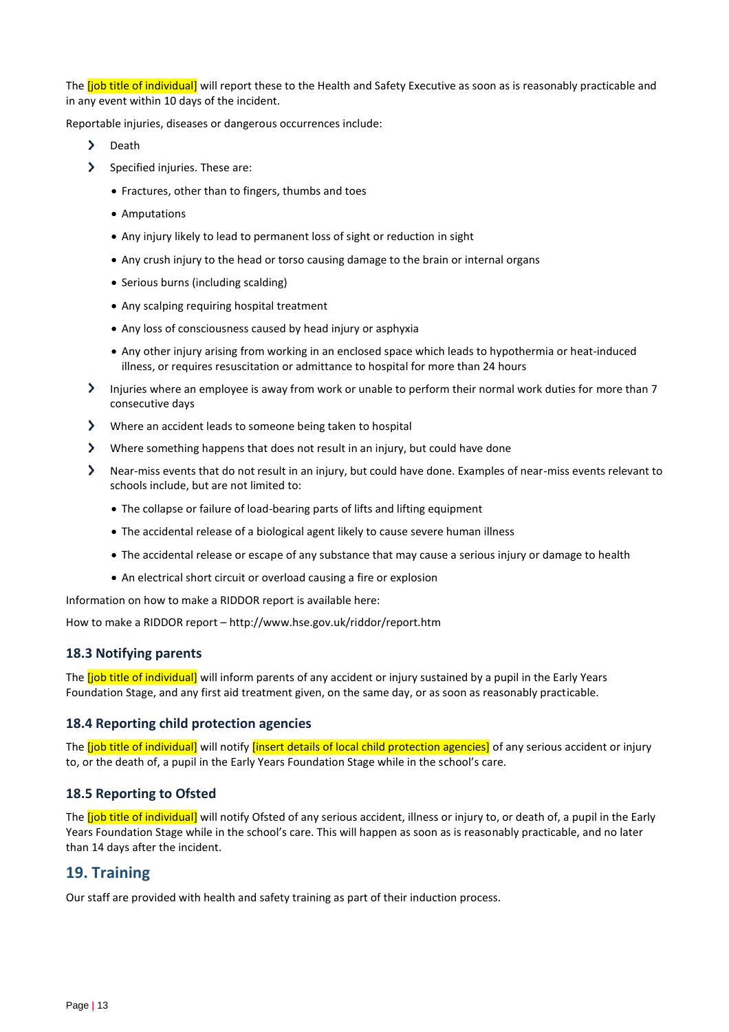The *[job title of individual]* will report these to the Health and Safety Executive as soon as is reasonably practicable and in any event within 10 days of the incident.

Reportable injuries, diseases or dangerous occurrences include:

- $\sum$ Death
- > Specified injuries. These are:
	- Fractures, other than to fingers, thumbs and toes
	- Amputations
	- Any injury likely to lead to permanent loss of sight or reduction in sight
	- Any crush injury to the head or torso causing damage to the brain or internal organs
	- Serious burns (including scalding)
	- Any scalping requiring hospital treatment
	- Any loss of consciousness caused by head injury or asphyxia
	- Any other injury arising from working in an enclosed space which leads to hypothermia or heat-induced illness, or requires resuscitation or admittance to hospital for more than 24 hours
- Injuries where an employee is away from work or unable to perform their normal work duties for more than 7 consecutive days
- $\sum$ Where an accident leads to someone being taken to hospital
- Where something happens that does not result in an injury, but could have done
- Near-miss events that do not result in an injury, but could have done. Examples of near-miss events relevant to schools include, but are not limited to:
	- The collapse or failure of load-bearing parts of lifts and lifting equipment
	- The accidental release of a biological agent likely to cause severe human illness
	- The accidental release or escape of any substance that may cause a serious injury or damage to health
	- An electrical short circuit or overload causing a fire or explosion

Information on how to make a RIDDOR report is available here:

How to make a RIDDOR report – http://www.hse.gov.uk/riddor/report.htm

## **18.3 Notifying parents**

The *[job title of individual]* will inform parents of any accident or injury sustained by a pupil in the Early Years Foundation Stage, and any first aid treatment given, on the same day, or as soon as reasonably practicable.

## **18.4 Reporting child protection agencies**

The *[job title of individual]* will notify *[insert details of local child protection agencies]* of any serious accident or injury to, or the death of, a pupil in the Early Years Foundation Stage while in the school's care.

## **18.5 Reporting to Ofsted**

The **[job title of individual]** will notify Ofsted of any serious accident, illness or injury to, or death of, a pupil in the Early Years Foundation Stage while in the school's care. This will happen as soon as is reasonably practicable, and no later than 14 days after the incident.

## <span id="page-12-0"></span>**19. Training**

Our staff are provided with health and safety training as part of their induction process.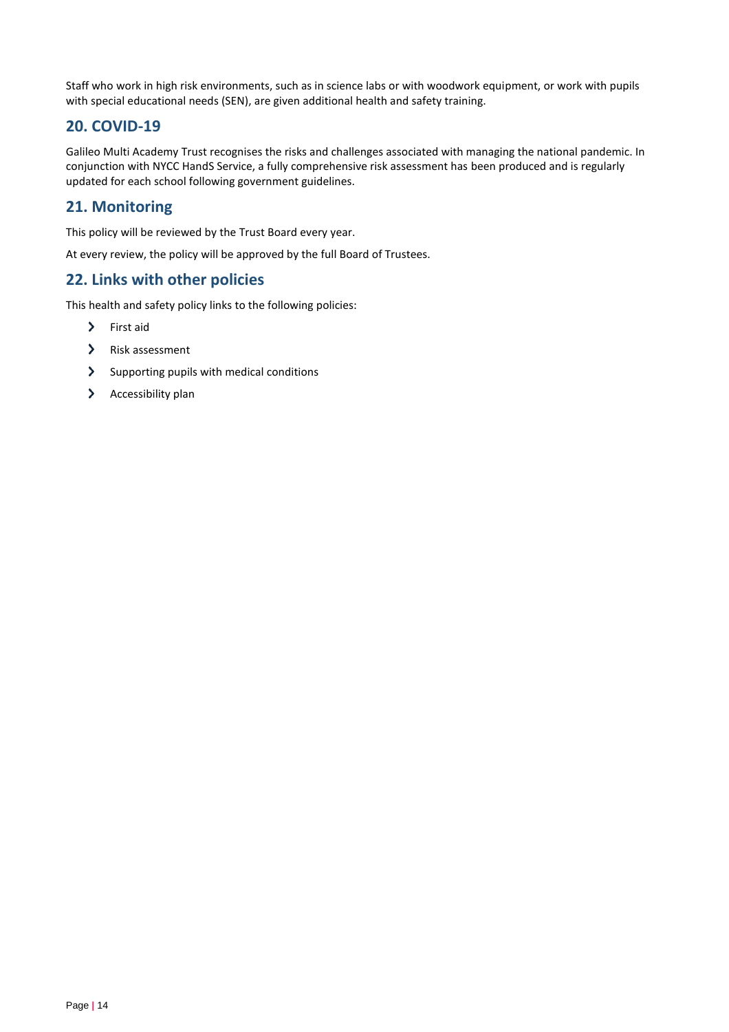Staff who work in high risk environments, such as in science labs or with woodwork equipment, or work with pupils with special educational needs (SEN), are given additional health and safety training.

# <span id="page-13-0"></span>**20. COVID-19**

Galileo Multi Academy Trust recognises the risks and challenges associated with managing the national pandemic. In conjunction with NYCC HandS Service, a fully comprehensive risk assessment has been produced and is regularly updated for each school following government guidelines.

# <span id="page-13-1"></span>**21. Monitoring**

This policy will be reviewed by the Trust Board every year.

At every review, the policy will be approved by the full Board of Trustees.

# <span id="page-13-2"></span>**22. Links with other policies**

This health and safety policy links to the following policies:

- > First aid
- $\sum$ Risk assessment
- $\sum$  Supporting pupils with medical conditions
- $\sum$ Accessibility plan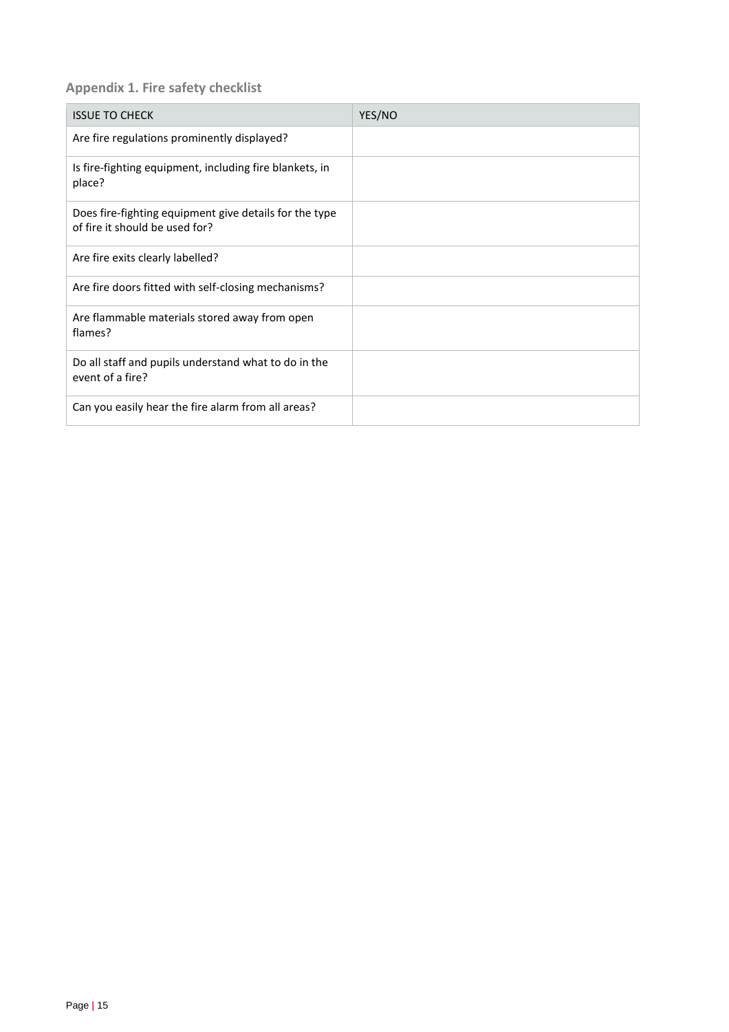## <span id="page-14-0"></span>**Appendix 1. Fire safety checklist**

| <b>ISSUE TO CHECK</b>                                                                    | YES/NO |
|------------------------------------------------------------------------------------------|--------|
| Are fire regulations prominently displayed?                                              |        |
| Is fire-fighting equipment, including fire blankets, in<br>place?                        |        |
| Does fire-fighting equipment give details for the type<br>of fire it should be used for? |        |
| Are fire exits clearly labelled?                                                         |        |
| Are fire doors fitted with self-closing mechanisms?                                      |        |
| Are flammable materials stored away from open<br>flames?                                 |        |
| Do all staff and pupils understand what to do in the<br>event of a fire?                 |        |
| Can you easily hear the fire alarm from all areas?                                       |        |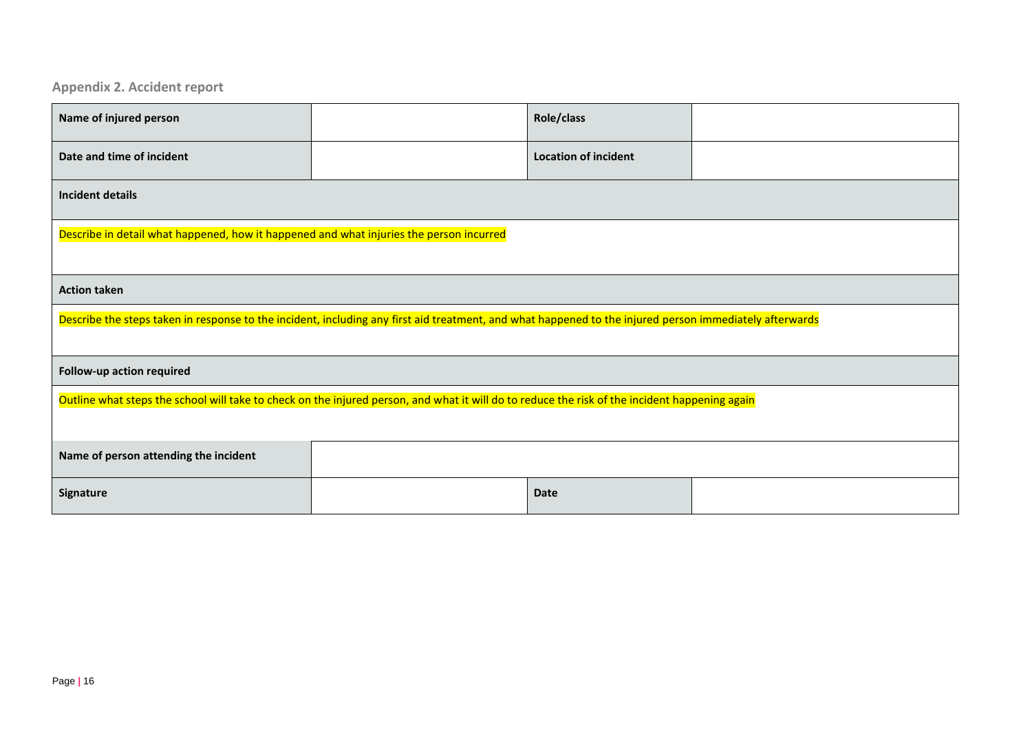**Appendix 2. Accident report**

<span id="page-15-0"></span>

| Name of injured person                                                                                                                                  |  | Role/class                  |  |  |
|---------------------------------------------------------------------------------------------------------------------------------------------------------|--|-----------------------------|--|--|
| Date and time of incident                                                                                                                               |  | <b>Location of incident</b> |  |  |
| <b>Incident details</b>                                                                                                                                 |  |                             |  |  |
| Describe in detail what happened, how it happened and what injuries the person incurred                                                                 |  |                             |  |  |
| <b>Action taken</b>                                                                                                                                     |  |                             |  |  |
| Describe the steps taken in response to the incident, including any first aid treatment, and what happened to the injured person immediately afterwards |  |                             |  |  |
| Follow-up action required                                                                                                                               |  |                             |  |  |
| Outline what steps the school will take to check on the injured person, and what it will do to reduce the risk of the incident happening again          |  |                             |  |  |
| Name of person attending the incident                                                                                                                   |  |                             |  |  |
| Signature                                                                                                                                               |  | <b>Date</b>                 |  |  |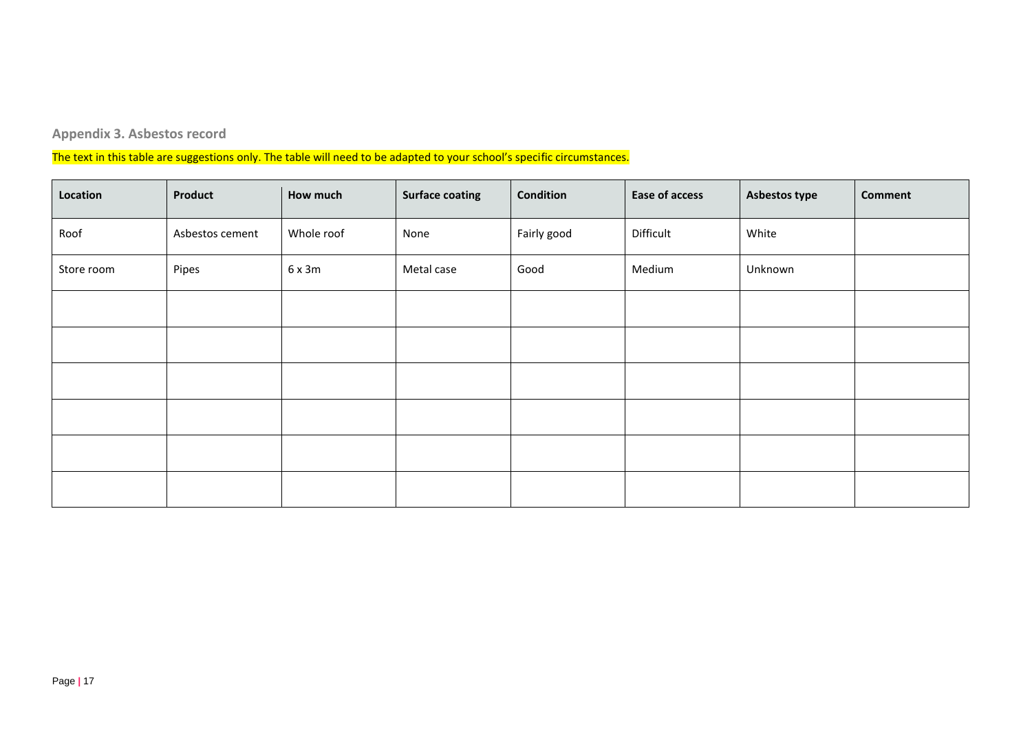# **Appendix 3. Asbestos record**

The text in this table are suggestions only. The table will need to be adapted to your school's specific circumstances.

<span id="page-16-0"></span>

| Location   | Product         | How much   | <b>Surface coating</b> | <b>Condition</b> | <b>Ease of access</b> | Asbestos type | <b>Comment</b> |
|------------|-----------------|------------|------------------------|------------------|-----------------------|---------------|----------------|
| Roof       | Asbestos cement | Whole roof | None                   | Fairly good      | Difficult             | White         |                |
| Store room | Pipes           | 6x3m       | Metal case             | Good             | Medium                | Unknown       |                |
|            |                 |            |                        |                  |                       |               |                |
|            |                 |            |                        |                  |                       |               |                |
|            |                 |            |                        |                  |                       |               |                |
|            |                 |            |                        |                  |                       |               |                |
|            |                 |            |                        |                  |                       |               |                |
|            |                 |            |                        |                  |                       |               |                |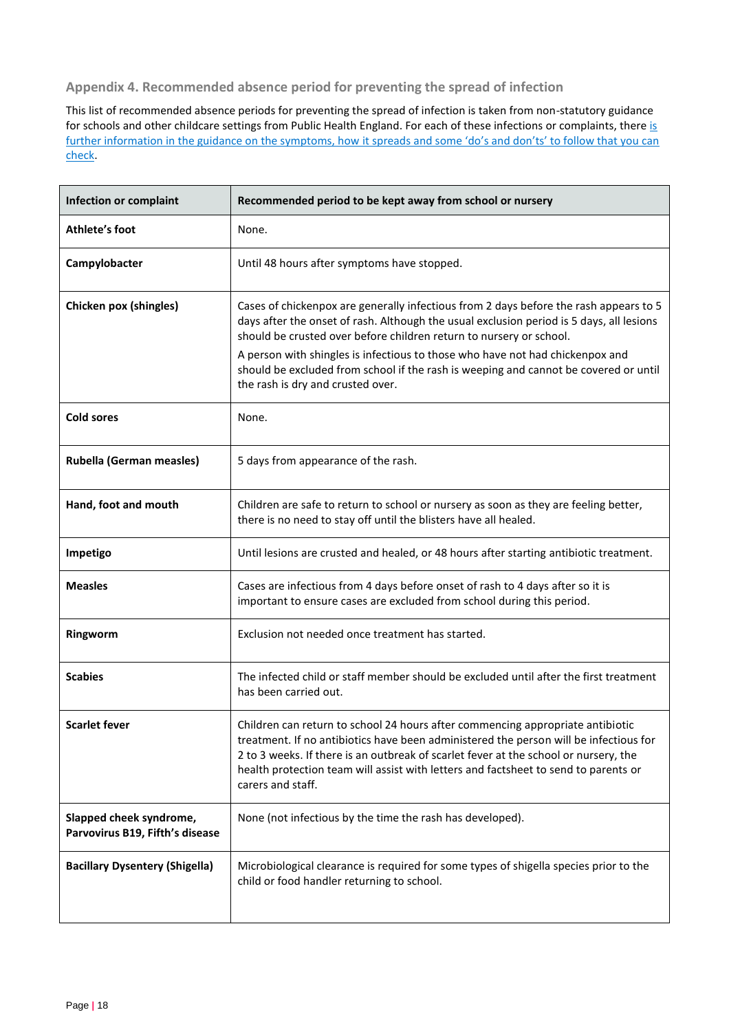<span id="page-17-0"></span>**Appendix 4. Recommended absence period for preventing the spread of infection**

This list of recommended absence periods for preventing the spread of infection is taken from non-statutory guidance for schools and other childcare settings from Public Health England. For each of these infections or complaints, there is further information in the guidance on the symptoms, how it spreads and some 'do's and don'ts' to follow that you can [check.](https://www.gov.uk/government/publications/health-protection-in-schools-and-other-childcare-facilities/chapter-9-managing-specific-infectious-diseases)

| <b>Infection or complaint</b>                              | Recommended period to be kept away from school or nursery                                                                                                                                                                                                                                                                                                                                                                                                              |
|------------------------------------------------------------|------------------------------------------------------------------------------------------------------------------------------------------------------------------------------------------------------------------------------------------------------------------------------------------------------------------------------------------------------------------------------------------------------------------------------------------------------------------------|
| Athlete's foot                                             | None.                                                                                                                                                                                                                                                                                                                                                                                                                                                                  |
| Campylobacter                                              | Until 48 hours after symptoms have stopped.                                                                                                                                                                                                                                                                                                                                                                                                                            |
| <b>Chicken pox (shingles)</b>                              | Cases of chickenpox are generally infectious from 2 days before the rash appears to 5<br>days after the onset of rash. Although the usual exclusion period is 5 days, all lesions<br>should be crusted over before children return to nursery or school.<br>A person with shingles is infectious to those who have not had chickenpox and<br>should be excluded from school if the rash is weeping and cannot be covered or until<br>the rash is dry and crusted over. |
| <b>Cold sores</b>                                          | None.                                                                                                                                                                                                                                                                                                                                                                                                                                                                  |
| <b>Rubella (German measles)</b>                            | 5 days from appearance of the rash.                                                                                                                                                                                                                                                                                                                                                                                                                                    |
| Hand, foot and mouth                                       | Children are safe to return to school or nursery as soon as they are feeling better,<br>there is no need to stay off until the blisters have all healed.                                                                                                                                                                                                                                                                                                               |
| Impetigo                                                   | Until lesions are crusted and healed, or 48 hours after starting antibiotic treatment.                                                                                                                                                                                                                                                                                                                                                                                 |
| <b>Measles</b>                                             | Cases are infectious from 4 days before onset of rash to 4 days after so it is<br>important to ensure cases are excluded from school during this period.                                                                                                                                                                                                                                                                                                               |
| Ringworm                                                   | Exclusion not needed once treatment has started.                                                                                                                                                                                                                                                                                                                                                                                                                       |
| <b>Scabies</b>                                             | The infected child or staff member should be excluded until after the first treatment<br>has been carried out.                                                                                                                                                                                                                                                                                                                                                         |
| <b>Scarlet fever</b>                                       | Children can return to school 24 hours after commencing appropriate antibiotic<br>treatment. If no antibiotics have been administered the person will be infectious for<br>2 to 3 weeks. If there is an outbreak of scarlet fever at the school or nursery, the<br>health protection team will assist with letters and factsheet to send to parents or<br>carers and staff.                                                                                            |
| Slapped cheek syndrome,<br>Parvovirus B19, Fifth's disease | None (not infectious by the time the rash has developed).                                                                                                                                                                                                                                                                                                                                                                                                              |
| <b>Bacillary Dysentery (Shigella)</b>                      | Microbiological clearance is required for some types of shigella species prior to the<br>child or food handler returning to school.                                                                                                                                                                                                                                                                                                                                    |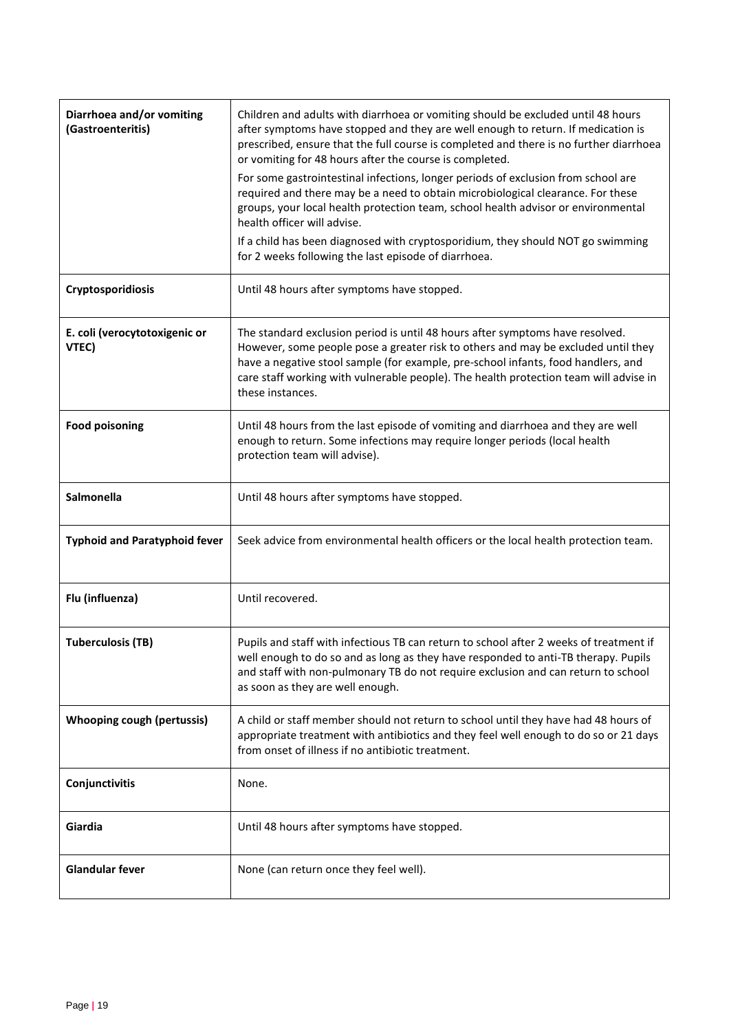| Diarrhoea and/or vomiting<br>(Gastroenteritis) | Children and adults with diarrhoea or vomiting should be excluded until 48 hours<br>after symptoms have stopped and they are well enough to return. If medication is<br>prescribed, ensure that the full course is completed and there is no further diarrhoea<br>or vomiting for 48 hours after the course is completed.                                            |
|------------------------------------------------|----------------------------------------------------------------------------------------------------------------------------------------------------------------------------------------------------------------------------------------------------------------------------------------------------------------------------------------------------------------------|
|                                                | For some gastrointestinal infections, longer periods of exclusion from school are<br>required and there may be a need to obtain microbiological clearance. For these<br>groups, your local health protection team, school health advisor or environmental<br>health officer will advise.                                                                             |
|                                                | If a child has been diagnosed with cryptosporidium, they should NOT go swimming<br>for 2 weeks following the last episode of diarrhoea.                                                                                                                                                                                                                              |
| Cryptosporidiosis                              | Until 48 hours after symptoms have stopped.                                                                                                                                                                                                                                                                                                                          |
| E. coli (verocytotoxigenic or<br>VTEC)         | The standard exclusion period is until 48 hours after symptoms have resolved.<br>However, some people pose a greater risk to others and may be excluded until they<br>have a negative stool sample (for example, pre-school infants, food handlers, and<br>care staff working with vulnerable people). The health protection team will advise in<br>these instances. |
| <b>Food poisoning</b>                          | Until 48 hours from the last episode of vomiting and diarrhoea and they are well<br>enough to return. Some infections may require longer periods (local health<br>protection team will advise).                                                                                                                                                                      |
| Salmonella                                     | Until 48 hours after symptoms have stopped.                                                                                                                                                                                                                                                                                                                          |
| <b>Typhoid and Paratyphoid fever</b>           | Seek advice from environmental health officers or the local health protection team.                                                                                                                                                                                                                                                                                  |
| Flu (influenza)                                | Until recovered.                                                                                                                                                                                                                                                                                                                                                     |
| <b>Tuberculosis (TB)</b>                       | Pupils and staff with infectious TB can return to school after 2 weeks of treatment if<br>well enough to do so and as long as they have responded to anti-TB therapy. Pupils<br>and staff with non-pulmonary TB do not require exclusion and can return to school<br>as soon as they are well enough.                                                                |
| <b>Whooping cough (pertussis)</b>              | A child or staff member should not return to school until they have had 48 hours of<br>appropriate treatment with antibiotics and they feel well enough to do so or 21 days<br>from onset of illness if no antibiotic treatment.                                                                                                                                     |
| Conjunctivitis                                 | None.                                                                                                                                                                                                                                                                                                                                                                |
| Giardia                                        | Until 48 hours after symptoms have stopped.                                                                                                                                                                                                                                                                                                                          |
| <b>Glandular fever</b>                         | None (can return once they feel well).                                                                                                                                                                                                                                                                                                                               |